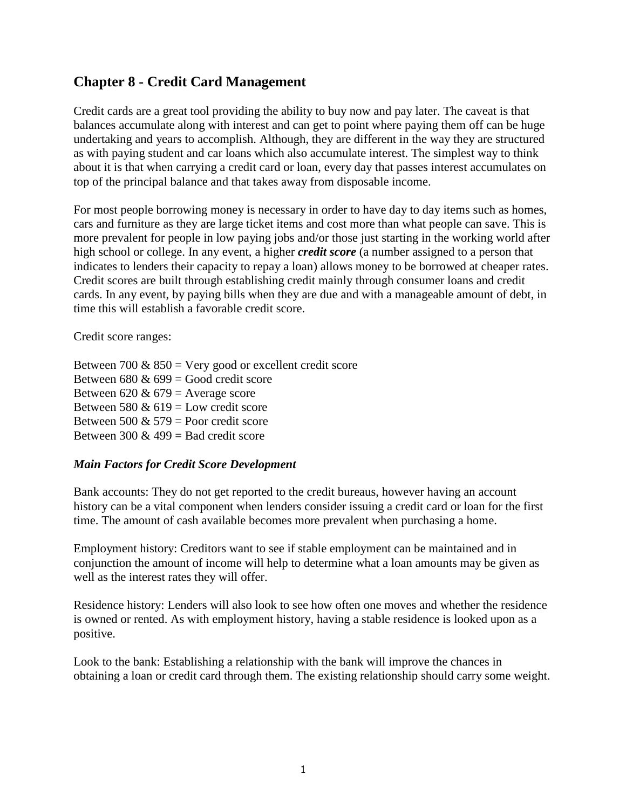# **Chapter 8 - Credit Card Management**

Credit cards are a great tool providing the ability to buy now and pay later. The caveat is that balances accumulate along with interest and can get to point where paying them off can be huge undertaking and years to accomplish. Although, they are different in the way they are structured as with paying student and car loans which also accumulate interest. The simplest way to think about it is that when carrying a credit card or loan, every day that passes interest accumulates on top of the principal balance and that takes away from disposable income.

For most people borrowing money is necessary in order to have day to day items such as homes, cars and furniture as they are large ticket items and cost more than what people can save. This is more prevalent for people in low paying jobs and/or those just starting in the working world after high school or college. In any event, a higher *credit score* (a number assigned to a person that indicates to lenders their capacity to repay a loan) allows money to be borrowed at cheaper rates. Credit scores are built through establishing credit mainly through consumer loans and credit cards. In any event, by paying bills when they are due and with a manageable amount of debt, in time this will establish a favorable credit score.

Credit score ranges:

| Between 700 & $850$ = Very good or excellent credit score |
|-----------------------------------------------------------|
| Between 680 & 699 = Good credit score                     |
| Between 620 & 679 = Average score                         |
| Between 580 & $619$ = Low credit score                    |
| Between 500 & 579 = Poor credit score                     |
| Between 300 & 499 = Bad credit score                      |
|                                                           |

#### *Main Factors for Credit Score Development*

Bank accounts: They do not get reported to the credit bureaus, however having an account history can be a vital component when lenders consider issuing a credit card or loan for the first time. The amount of cash available becomes more prevalent when purchasing a home.

Employment history: Creditors want to see if stable employment can be maintained and in conjunction the amount of income will help to determine what a loan amounts may be given as well as the interest rates they will offer.

Residence history: Lenders will also look to see how often one moves and whether the residence is owned or rented. As with employment history, having a stable residence is looked upon as a positive.

Look to the bank: Establishing a relationship with the bank will improve the chances in obtaining a loan or credit card through them. The existing relationship should carry some weight.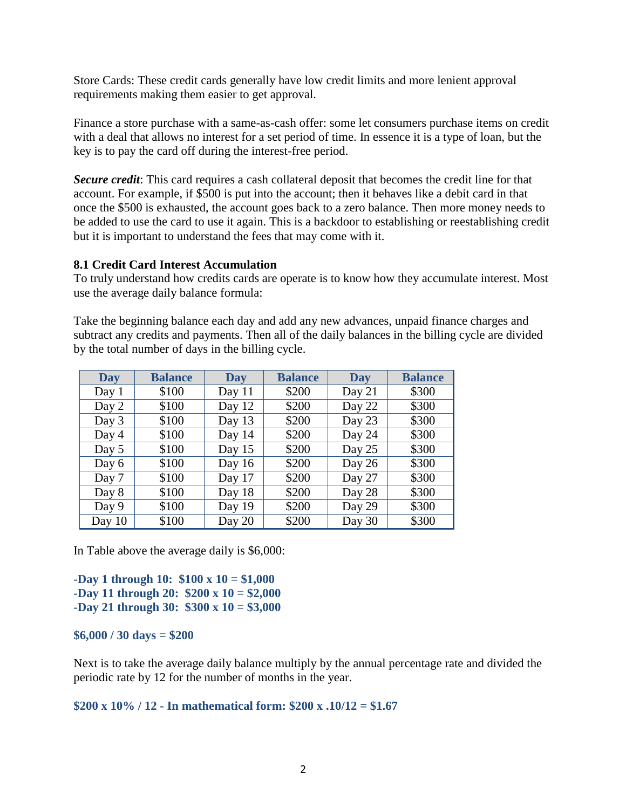Store Cards: These credit cards generally have low credit limits and more lenient approval requirements making them easier to get approval.

Finance a store purchase with a same-as-cash offer: some let consumers purchase items on credit with a deal that allows no interest for a set period of time. In essence it is a type of loan, but the key is to pay the card off during the interest-free period.

*Secure credit*: This card requires a cash collateral deposit that becomes the credit line for that account. For example, if \$500 is put into the account; then it behaves like a debit card in that once the \$500 is exhausted, the account goes back to a zero balance. Then more money needs to be added to use the card to use it again. This is a backdoor to establishing or reestablishing credit but it is important to understand the fees that may come with it.

### **8.1 Credit Card Interest Accumulation**

To truly understand how credits cards are operate is to know how they accumulate interest. Most use the average daily balance formula:

Take the beginning balance each day and add any new advances, unpaid finance charges and subtract any credits and payments. Then all of the daily balances in the billing cycle are divided by the total number of days in the billing cycle.

| <b>Day</b> | <b>Balance</b> | Day      | <b>Balance</b> | <b>Day</b> | <b>Balance</b> |
|------------|----------------|----------|----------------|------------|----------------|
| Day 1      | \$100          | Day $11$ | \$200          | Day $21$   | \$300          |
| Day 2      | \$100          | Day $12$ | \$200          | Day 22     | \$300          |
| Day 3      | \$100          | Day 13   | \$200          | Day 23     | \$300          |
| Day 4      | \$100          | Day 14   | \$200          | Day 24     | \$300          |
| Day 5      | \$100          | Day $15$ | \$200          | Day 25     | \$300          |
| Day 6      | \$100          | Day 16   | \$200          | Day 26     | \$300          |
| Day 7      | \$100          | Day 17   | \$200          | Day 27     | \$300          |
| Day 8      | \$100          | Day 18   | \$200          | Day 28     | \$300          |
| Day 9      | \$100          | Day 19   | \$200          | Day 29     | \$300          |
| Day $10$   | \$100          | Day 20   | \$200          | Day 30     | \$300          |

In Table above the average daily is \$6,000:

**-Day 1 through 10: \$100 x 10 = \$1,000 -Day 11 through 20: \$200 x 10 = \$2,000 -Day 21 through 30: \$300 x 10 = \$3,000**

#### **\$6,000 / 30 days = \$200**

Next is to take the average daily balance multiply by the annual percentage rate and divided the periodic rate by 12 for the number of months in the year.

#### **\$200 x 10% / 12 - In mathematical form: \$200 x .10/12 = \$1.67**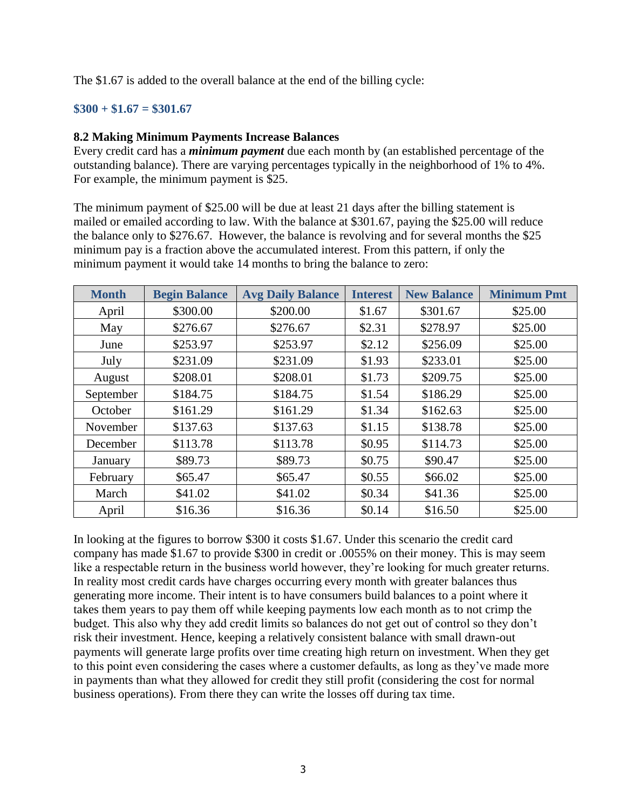The \$1.67 is added to the overall balance at the end of the billing cycle:

### **\$300 + \$1.67 = \$301.67**

### **8.2 Making Minimum Payments Increase Balances**

Every credit card has a *minimum payment* due each month by (an established percentage of the outstanding balance). There are varying percentages typically in the neighborhood of 1% to 4%. For example, the minimum payment is \$25.

The minimum payment of \$25.00 will be due at least 21 days after the billing statement is mailed or emailed according to law. With the balance at \$301.67, paying the \$25.00 will reduce the balance only to \$276.67. However, the balance is revolving and for several months the \$25 minimum pay is a fraction above the accumulated interest. From this pattern, if only the minimum payment it would take 14 months to bring the balance to zero:

| <b>Month</b> | <b>Begin Balance</b> | <b>Avg Daily Balance</b> | <b>Interest</b> | <b>New Balance</b> | <b>Minimum Pmt</b> |
|--------------|----------------------|--------------------------|-----------------|--------------------|--------------------|
| April        | \$300.00             | \$200.00                 | \$1.67          | \$301.67           | \$25.00            |
| May          | \$276.67             | \$276.67                 | \$2.31          | \$278.97           | \$25.00            |
| June         | \$253.97             | \$253.97                 | \$2.12          | \$256.09           | \$25.00            |
| July         | \$231.09             | \$231.09                 | \$1.93          | \$233.01           | \$25.00            |
| August       | \$208.01             | \$208.01                 | \$1.73          | \$209.75           | \$25.00            |
| September    | \$184.75             | \$184.75                 | \$1.54          | \$186.29           | \$25.00            |
| October      | \$161.29             | \$161.29                 | \$1.34          | \$162.63           | \$25.00            |
| November     | \$137.63             | \$137.63                 | \$1.15          | \$138.78           | \$25.00            |
| December     | \$113.78             | \$113.78                 | \$0.95          | \$114.73           | \$25.00            |
| January      | \$89.73              | \$89.73                  | \$0.75          | \$90.47            | \$25.00            |
| February     | \$65.47              | \$65.47                  | \$0.55          | \$66.02            | \$25.00            |
| March        | \$41.02              | \$41.02                  | \$0.34          | \$41.36            | \$25.00            |
| April        | \$16.36              | \$16.36                  | \$0.14          | \$16.50            | \$25.00            |

In looking at the figures to borrow \$300 it costs \$1.67. Under this scenario the credit card company has made \$1.67 to provide \$300 in credit or .0055% on their money. This is may seem like a respectable return in the business world however, they're looking for much greater returns. In reality most credit cards have charges occurring every month with greater balances thus generating more income. Their intent is to have consumers build balances to a point where it takes them years to pay them off while keeping payments low each month as to not crimp the budget. This also why they add credit limits so balances do not get out of control so they don't risk their investment. Hence, keeping a relatively consistent balance with small drawn-out payments will generate large profits over time creating high return on investment. When they get to this point even considering the cases where a customer defaults, as long as they've made more in payments than what they allowed for credit they still profit (considering the cost for normal business operations). From there they can write the losses off during tax time.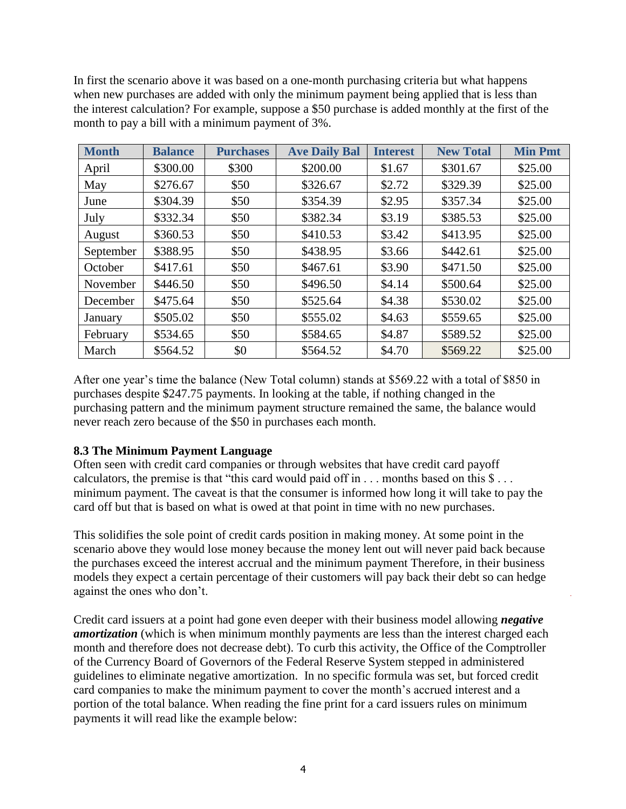In first the scenario above it was based on a one-month purchasing criteria but what happens when new purchases are added with only the minimum payment being applied that is less than the interest calculation? For example, suppose a \$50 purchase is added monthly at the first of the month to pay a bill with a minimum payment of 3%.

| <b>Month</b> | <b>Balance</b> | <b>Purchases</b> | <b>Ave Daily Bal</b> | <b>Interest</b> | <b>New Total</b> | <b>Min Pmt</b> |
|--------------|----------------|------------------|----------------------|-----------------|------------------|----------------|
| April        | \$300.00       | \$300            | \$200.00             | \$1.67          | \$301.67         | \$25.00        |
| May          | \$276.67       | \$50             | \$326.67             | \$2.72          | \$329.39         | \$25.00        |
| June         | \$304.39       | \$50             | \$354.39             | \$2.95          | \$357.34         | \$25.00        |
| July         | \$332.34       | \$50             | \$382.34             | \$3.19          | \$385.53         | \$25.00        |
| August       | \$360.53       | \$50             | \$410.53             | \$3.42          | \$413.95         | \$25.00        |
| September    | \$388.95       | \$50             | \$438.95             | \$3.66          | \$442.61         | \$25.00        |
| October      | \$417.61       | \$50             | \$467.61             | \$3.90          | \$471.50         | \$25.00        |
| November     | \$446.50       | \$50             | \$496.50             | \$4.14          | \$500.64         | \$25.00        |
| December     | \$475.64       | \$50             | \$525.64             | \$4.38          | \$530.02         | \$25.00        |
| January      | \$505.02       | \$50             | \$555.02             | \$4.63          | \$559.65         | \$25.00        |
| February     | \$534.65       | \$50             | \$584.65             | \$4.87          | \$589.52         | \$25.00        |
| March        | \$564.52       | \$0              | \$564.52             | \$4.70          | \$569.22         | \$25.00        |

After one year's time the balance (New Total column) stands at \$569.22 with a total of \$850 in purchases despite \$247.75 payments. In looking at the table, if nothing changed in the purchasing pattern and the minimum payment structure remained the same, the balance would never reach zero because of the \$50 in purchases each month.

# **8.3 The Minimum Payment Language**

Often seen with credit card companies or through websites that have credit card payoff calculators, the premise is that "this card would paid off in . . . months based on this \$ . . . minimum payment. The caveat is that the consumer is informed how long it will take to pay the card off but that is based on what is owed at that point in time with no new purchases.

This solidifies the sole point of credit cards position in making money. At some point in the scenario above they would lose money because the money lent out will never paid back because the purchases exceed the interest accrual and the minimum payment Therefore, in their business models they expect a certain percentage of their customers will pay back their debt so can hedge against the ones who don't.

Credit card issuers at a point had gone even deeper with their business model allowing *negative amortization* (which is when minimum monthly payments are less than the interest charged each month and therefore does not decrease debt). To curb this activity, the Office of the Comptroller of the Currency Board of Governors of the Federal Reserve System stepped in administered guidelines to eliminate negative amortization. In no specific formula was set, but forced credit card companies to make the minimum payment to cover the month's accrued interest and a portion of the total balance. When reading the fine print for a card issuers rules on minimum payments it will read like the example below: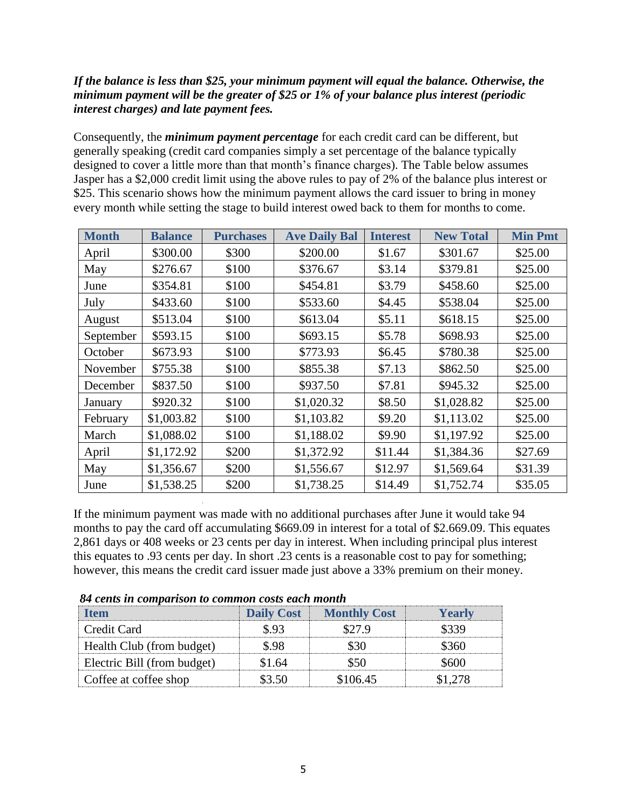# *If the balance is less than \$25, your minimum payment will equal the balance. Otherwise, the minimum payment will be the greater of \$25 or 1% of your balance plus interest (periodic interest charges) and late payment fees.*

Consequently, the *minimum payment percentage* for each credit card can be different, but generally speaking (credit card companies simply a set percentage of the balance typically designed to cover a little more than that month's finance charges). The Table below assumes Jasper has a \$2,000 credit limit using the above rules to pay of 2% of the balance plus interest or \$25. This scenario shows how the minimum payment allows the card issuer to bring in money every month while setting the stage to build interest owed back to them for months to come.

| <b>Month</b> | <b>Balance</b> | <b>Purchases</b> | <b>Ave Daily Bal</b> | <b>Interest</b> | <b>New Total</b> | <b>Min Pmt</b> |
|--------------|----------------|------------------|----------------------|-----------------|------------------|----------------|
| April        | \$300.00       | \$300            | \$200.00             | \$1.67          | \$301.67         | \$25.00        |
| May          | \$276.67       | \$100            | \$376.67             | \$3.14          | \$379.81         | \$25.00        |
| June         | \$354.81       | \$100            | \$454.81             | \$3.79          | \$458.60         | \$25.00        |
| July         | \$433.60       | \$100            | \$533.60             | \$4.45          | \$538.04         | \$25.00        |
| August       | \$513.04       | \$100            | \$613.04             | \$5.11          | \$618.15         | \$25.00        |
| September    | \$593.15       | \$100            | \$693.15             | \$5.78          | \$698.93         | \$25.00        |
| October      | \$673.93       | \$100            | \$773.93             | \$6.45          | \$780.38         | \$25.00        |
| November     | \$755.38       | \$100            | \$855.38             | \$7.13          | \$862.50         | \$25.00        |
| December     | \$837.50       | \$100            | \$937.50             | \$7.81          | \$945.32         | \$25.00        |
| January      | \$920.32       | \$100            | \$1,020.32           | \$8.50          | \$1,028.82       | \$25.00        |
| February     | \$1,003.82     | \$100            | \$1,103.82           | \$9.20          | \$1,113.02       | \$25.00        |
| March        | \$1,088.02     | \$100            | \$1,188.02           | \$9.90          | \$1,197.92       | \$25.00        |
| April        | \$1,172.92     | \$200            | \$1,372.92           | \$11.44         | \$1,384.36       | \$27.69        |
| May          | \$1,356.67     | \$200            | \$1,556.67           | \$12.97         | \$1,569.64       | \$31.39        |
| June         | \$1,538.25     | \$200            | \$1,738.25           | \$14.49         | \$1,752.74       | \$35.05        |

If the minimum payment was made with no additional purchases after June it would take 94 months to pay the card off accumulating \$669.09 in interest for a total of \$2.669.09. This equates 2,861 days or 408 weeks or 23 cents per day in interest. When including principal plus interest this equates to .93 cents per day. In short .23 cents is a reasonable cost to pay for something; however, this means the credit card issuer made just above a 33% premium on their money.

| -64 cents in comparison to common costs each monin |        |                                |         |  |  |  |  |
|----------------------------------------------------|--------|--------------------------------|---------|--|--|--|--|
| <b>Ifem</b>                                        |        | <b>Daily Cost</b> Monthly Cost | /earlv  |  |  |  |  |
| Credit Card                                        | ደ 93   | S27 9                          |         |  |  |  |  |
| Health Club (from budget)                          | S 98   |                                | 8360    |  |  |  |  |
| Electric Bill (from budget)                        | \$1.64 |                                | .600    |  |  |  |  |
| Coffee at coffee shop                              | \$3.50 | \$106.45                       | \$1.278 |  |  |  |  |

 *84 cents in comparison to common costs each month*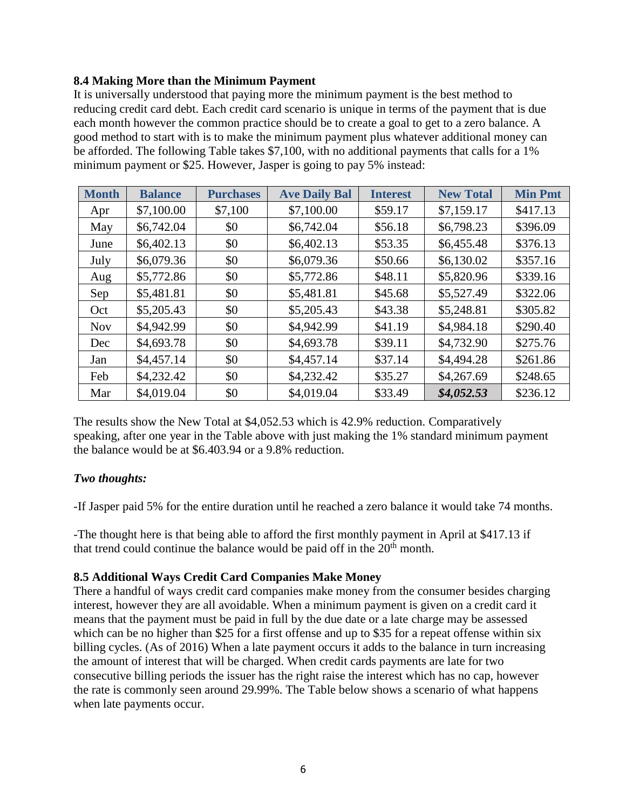#### **8.4 Making More than the Minimum Payment**

It is universally understood that paying more the minimum payment is the best method to reducing credit card debt. Each credit card scenario is unique in terms of the payment that is due each month however the common practice should be to create a goal to get to a zero balance. A good method to start with is to make the minimum payment plus whatever additional money can be afforded. The following Table takes \$7,100, with no additional payments that calls for a 1% minimum payment or \$25. However, Jasper is going to pay 5% instead:

| <b>Month</b> | <b>Balance</b> | <b>Purchases</b> | <b>Ave Daily Bal</b> | <b>Interest</b> | <b>New Total</b> | <b>Min Pmt</b> |
|--------------|----------------|------------------|----------------------|-----------------|------------------|----------------|
| Apr          | \$7,100.00     | \$7,100          | \$7,100.00           | \$59.17         | \$7,159.17       | \$417.13       |
| May          | \$6,742.04     | \$0              | \$6,742.04           | \$56.18         | \$6,798.23       | \$396.09       |
| June         | \$6,402.13     | \$0              | \$6,402.13           | \$53.35         | \$6,455.48       | \$376.13       |
| July         | \$6,079.36     | \$0              | \$6,079.36           | \$50.66         | \$6,130.02       | \$357.16       |
| Aug          | \$5,772.86     | \$0              | \$5,772.86           | \$48.11         | \$5,820.96       | \$339.16       |
| Sep          | \$5,481.81     | \$0              | \$5,481.81           | \$45.68         | \$5,527.49       | \$322.06       |
| Oct          | \$5,205.43     | \$0              | \$5,205.43           | \$43.38         | \$5,248.81       | \$305.82       |
| <b>Nov</b>   | \$4,942.99     | \$0              | \$4,942.99           | \$41.19         | \$4,984.18       | \$290.40       |
| Dec          | \$4,693.78     | \$0              | \$4,693.78           | \$39.11         | \$4,732.90       | \$275.76       |
| Jan          | \$4,457.14     | \$0              | \$4,457.14           | \$37.14         | \$4,494.28       | \$261.86       |
| Feb          | \$4,232.42     | \$0              | \$4,232.42           | \$35.27         | \$4,267.69       | \$248.65       |
| Mar          | \$4,019.04     | \$0              | \$4,019.04           | \$33.49         | \$4,052.53       | \$236.12       |

The results show the New Total at \$4,052.53 which is 42.9% reduction. Comparatively speaking, after one year in the Table above with just making the 1% standard minimum payment the balance would be at \$6.403.94 or a 9.8% reduction.

# *Two thoughts:*

-If Jasper paid 5% for the entire duration until he reached a zero balance it would take 74 months.

-The thought here is that being able to afford the first monthly payment in April at \$417.13 if that trend could continue the balance would be paid off in the  $20<sup>th</sup>$  month.

# **8.5 Additional Ways Credit Card Companies Make Money**

There a handful of ways credit card companies make money from the consumer besides charging interest, however they are all avoidable. When a minimum payment is given on a credit card it means that the payment must be paid in full by the due date or a late charge may be assessed which can be no higher than \$25 for a first offense and up to \$35 for a repeat offense within six billing cycles. (As of 2016) When a late payment occurs it adds to the balance in turn increasing the amount of interest that will be charged. When credit cards payments are late for two consecutive billing periods the issuer has the right raise the interest which has no cap, however the rate is commonly seen around 29.99%. The Table below shows a scenario of what happens when late payments occur.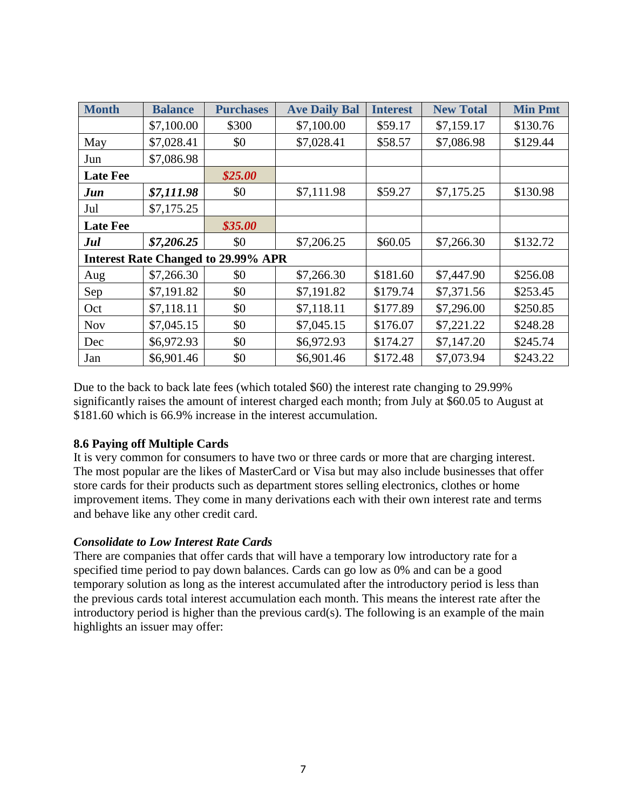| <b>Month</b>    | <b>Balance</b> | <b>Purchases</b>                           | <b>Ave Daily Bal</b> | <b>Interest</b> | <b>New Total</b> | <b>Min Pmt</b> |
|-----------------|----------------|--------------------------------------------|----------------------|-----------------|------------------|----------------|
|                 | \$7,100.00     | \$300                                      | \$7,100.00           | \$59.17         | \$7,159.17       | \$130.76       |
| May             | \$7,028.41     | \$0                                        | \$7,028.41           | \$58.57         | \$7,086.98       | \$129.44       |
| Jun             | \$7,086.98     |                                            |                      |                 |                  |                |
| <b>Late Fee</b> |                | \$25.00                                    |                      |                 |                  |                |
| Jun             | \$7,111.98     | \$0                                        | \$7,111.98           | \$59.27         | \$7,175.25       | \$130.98       |
| Jul             | \$7,175.25     |                                            |                      |                 |                  |                |
| <b>Late Fee</b> |                | \$35.00                                    |                      |                 |                  |                |
| Jul             | \$7,206.25     | \$0                                        | \$7,206.25           | \$60.05         | \$7,266.30       | \$132.72       |
|                 |                | <b>Interest Rate Changed to 29.99% APR</b> |                      |                 |                  |                |
| Aug             | \$7,266.30     | \$0                                        | \$7,266.30           | \$181.60        | \$7,447.90       | \$256.08       |
| Sep             | \$7,191.82     | \$0                                        | \$7,191.82           | \$179.74        | \$7,371.56       | \$253.45       |
| Oct             | \$7,118.11     | \$0                                        | \$7,118.11           | \$177.89        | \$7,296.00       | \$250.85       |
| <b>Nov</b>      | \$7,045.15     | \$0                                        | \$7,045.15           | \$176.07        | \$7,221.22       | \$248.28       |
| Dec             | \$6,972.93     | \$0                                        | \$6,972.93           | \$174.27        | \$7,147.20       | \$245.74       |
| Jan             | \$6,901.46     | \$0                                        | \$6,901.46           | \$172.48        | \$7,073.94       | \$243.22       |

Due to the back to back late fees (which totaled \$60) the interest rate changing to 29.99% significantly raises the amount of interest charged each month; from July at \$60.05 to August at \$181.60 which is 66.9% increase in the interest accumulation.

# **8.6 Paying off Multiple Cards**

It is very common for consumers to have two or three cards or more that are charging interest. The most popular are the likes of MasterCard or Visa but may also include businesses that offer store cards for their products such as department stores selling electronics, clothes or home improvement items. They come in many derivations each with their own interest rate and terms and behave like any other credit card.

# *Consolidate to Low Interest Rate Cards*

There are companies that offer cards that will have a temporary low introductory rate for a specified time period to pay down balances. Cards can go low as 0% and can be a good temporary solution as long as the interest accumulated after the introductory period is less than the previous cards total interest accumulation each month. This means the interest rate after the introductory period is higher than the previous card(s). The following is an example of the main highlights an issuer may offer: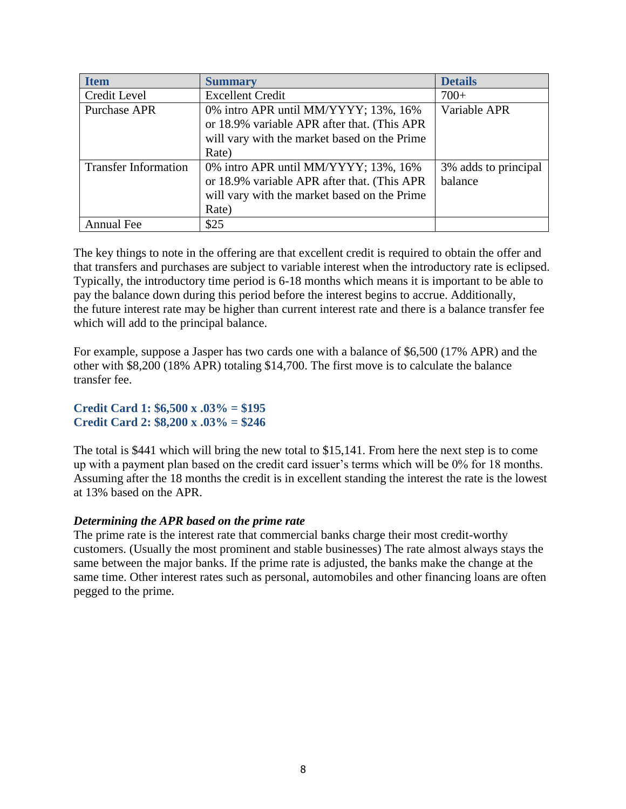| <b>Item</b>                 | <b>Summary</b>                               | <b>Details</b>       |
|-----------------------------|----------------------------------------------|----------------------|
| Credit Level                | <b>Excellent Credit</b>                      | $700+$               |
| <b>Purchase APR</b>         | 0% intro APR until MM/YYYY; 13%, 16%         | Variable APR         |
|                             | or 18.9% variable APR after that. (This APR  |                      |
|                             | will vary with the market based on the Prime |                      |
|                             | Rate)                                        |                      |
| <b>Transfer Information</b> | 0% intro APR until MM/YYYY; 13%, 16%         | 3% adds to principal |
|                             | or 18.9% variable APR after that. (This APR  | balance              |
|                             | will vary with the market based on the Prime |                      |
|                             | Rate)                                        |                      |
| Annual Fee                  | \$25                                         |                      |

The key things to note in the offering are that excellent credit is required to obtain the offer and that transfers and purchases are subject to variable interest when the introductory rate is eclipsed. Typically, the introductory time period is 6-18 months which means it is important to be able to pay the balance down during this period before the interest begins to accrue. Additionally, the future interest rate may be higher than current interest rate and there is a balance transfer fee which will add to the principal balance.

For example, suppose a Jasper has two cards one with a balance of \$6,500 (17% APR) and the other with \$8,200 (18% APR) totaling \$14,700. The first move is to calculate the balance transfer fee.

**Credit Card 1: \$6,500 x .03% = \$195 Credit Card 2: \$8,200 x .03% = \$246**

The total is \$441 which will bring the new total to \$15,141. From here the next step is to come up with a payment plan based on the credit card issuer's terms which will be 0% for 18 months. Assuming after the 18 months the credit is in excellent standing the interest the rate is the lowest at 13% based on the APR.

#### *Determining the APR based on the prime rate*

The prime rate is the interest rate that commercial banks charge their most credit-worthy customers. (Usually the most prominent and stable businesses) The rate almost always stays the same between the major banks. If the prime rate is adjusted, the banks make the change at the same time. Other interest rates such as personal, automobiles and other financing loans are often pegged to the prime.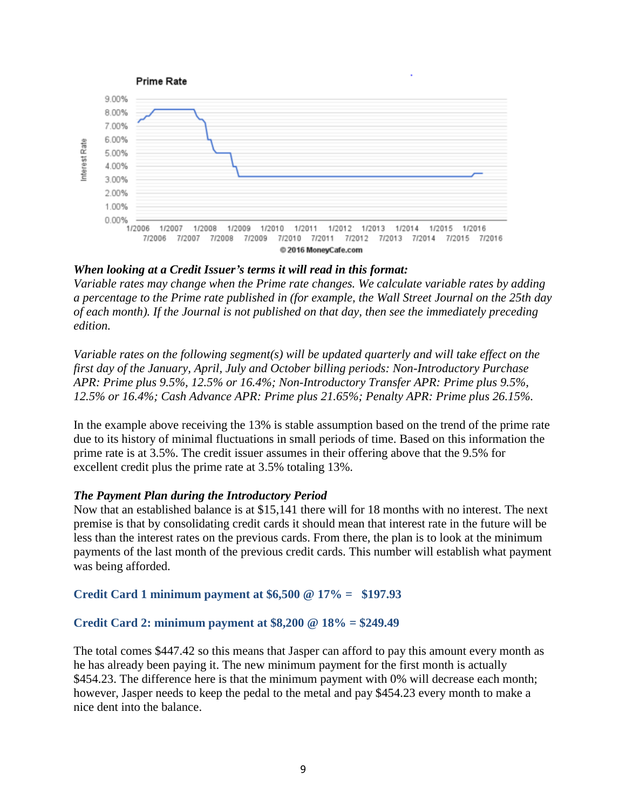

### *When looking at a Credit Issuer's terms it will read in this format:*

*Variable rates may change when the Prime rate changes. We calculate variable rates by adding a percentage to the Prime rate published in (for example, the Wall Street Journal on the 25th day of each month). If the Journal is not published on that day, then see the immediately preceding edition.* 

*Variable rates on the following segment(s) will be updated quarterly and will take effect on the first day of the January, April, July and October billing periods: Non-Introductory Purchase APR: Prime plus 9.5%, 12.5% or 16.4%; Non-Introductory Transfer APR: Prime plus 9.5%, 12.5% or 16.4%; Cash Advance APR: Prime plus 21.65%; Penalty APR: Prime plus 26.15%.*

In the example above receiving the 13% is stable assumption based on the trend of the prime rate due to its history of minimal fluctuations in small periods of time. Based on this information the prime rate is at 3.5%. The credit issuer assumes in their offering above that the 9.5% for excellent credit plus the prime rate at 3.5% totaling 13%.

#### *The Payment Plan during the Introductory Period*

Now that an established balance is at \$15,141 there will for 18 months with no interest. The next premise is that by consolidating credit cards it should mean that interest rate in the future will be less than the interest rates on the previous cards. From there, the plan is to look at the minimum payments of the last month of the previous credit cards. This number will establish what payment was being afforded.

#### **Credit Card 1 minimum payment at \$6,500 @ 17% = \$197.93**

#### **Credit Card 2: minimum payment at \$8,200 @ 18% = \$249.49**

The total comes \$447.42 so this means that Jasper can afford to pay this amount every month as he has already been paying it. The new minimum payment for the first month is actually \$454.23. The difference here is that the minimum payment with 0% will decrease each month; however, Jasper needs to keep the pedal to the metal and pay \$454.23 every month to make a nice dent into the balance.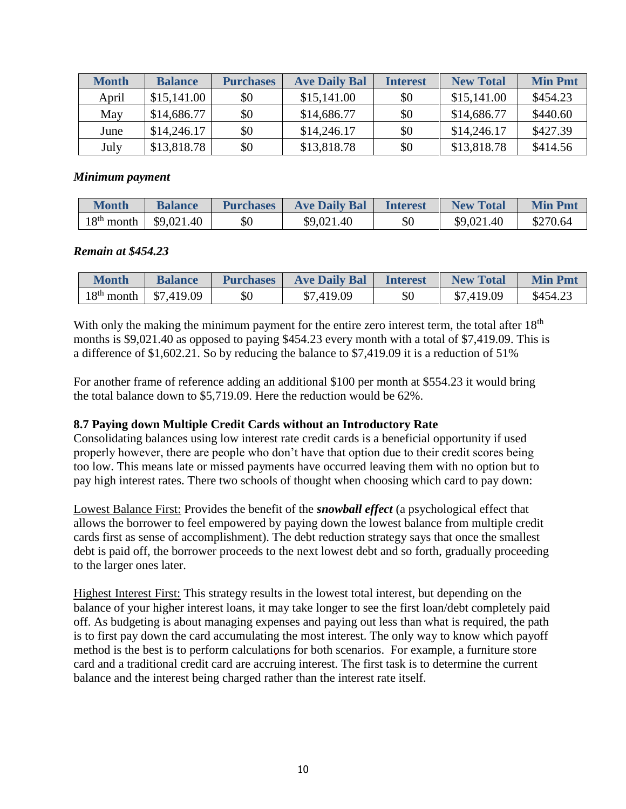| <b>Month</b> | <b>Balance</b> | <b>Purchases</b> | <b>Ave Daily Bal</b> | <b>Interest</b> | <b>New Total</b> | <b>Min Pmt</b> |
|--------------|----------------|------------------|----------------------|-----------------|------------------|----------------|
| April        | \$15,141.00    | \$0              | \$15,141.00          | \$0             | \$15,141.00      | \$454.23       |
| May          | \$14,686.77    | \$0              | \$14,686.77          | \$0             | \$14,686.77      | \$440.60       |
| June         | \$14,246.17    | \$0              | \$14,246.17          | \$0             | \$14,246.17      | \$427.39       |
| July         | \$13,818.78    | \$0              | \$13,818.78          | \$0             | \$13,818.78      | \$414.56       |

#### *Minimum payment*

| Month        | <b>Balance</b>           | <b>Purchases</b> | <b>Ave Daily Bal</b> | <b>Interest</b> | <b>New Total</b> | <b>Min Pmt</b> |
|--------------|--------------------------|------------------|----------------------|-----------------|------------------|----------------|
| $18th$ month | $\frac{1}{2}$ \$9,021.40 | \$0              | \$9,021.40           | \$0             | \$9,021.40       | \$270.64       |

#### *Remain at \$454.23*

| Month        | <b>Balance</b> | <b>Purchases</b> | <b>Ave Daily Bal</b> | <b>Interest</b> | <b>New Total</b> | <b>Min Pmt</b> |
|--------------|----------------|------------------|----------------------|-----------------|------------------|----------------|
| $18th$ month | \$7,419.09     | \$0              | \$7,419.09           | \$0             | \$7,419.09       | \$454.23       |

With only the making the minimum payment for the entire zero interest term, the total after 18<sup>th</sup> months is \$9,021.40 as opposed to paying \$454.23 every month with a total of \$7,419.09. This is a difference of \$1,602.21. So by reducing the balance to \$7,419.09 it is a reduction of 51%

For another frame of reference adding an additional \$100 per month at \$554.23 it would bring the total balance down to \$5,719.09. Here the reduction would be 62%.

# **8.7 Paying down Multiple Credit Cards without an Introductory Rate**

Consolidating balances using low interest rate credit cards is a beneficial opportunity if used properly however, there are people who don't have that option due to their credit scores being too low. This means late or missed payments have occurred leaving them with no option but to pay high interest rates. There two schools of thought when choosing which card to pay down:

Lowest Balance First: Provides the benefit of the *snowball effect* (a psychological effect that allows the borrower to feel empowered by paying down the lowest balance from multiple credit cards first as sense of accomplishment). The debt reduction strategy says that once the smallest debt is paid off, the borrower proceeds to the next lowest debt and so forth, gradually proceeding to the larger ones later.

Highest Interest First: This strategy results in the lowest total interest, but depending on the balance of your higher interest loans, it may take longer to see the first loan/debt completely paid off. As budgeting is about managing expenses and paying out less than what is required, the path is to first pay down the card accumulating the most interest. The only way to know which payoff method is the best is to perform calculations for both scenarios. For example, a furniture store card and a traditional credit card are accruing interest. The first task is to determine the current balance and the interest being charged rather than the interest rate itself.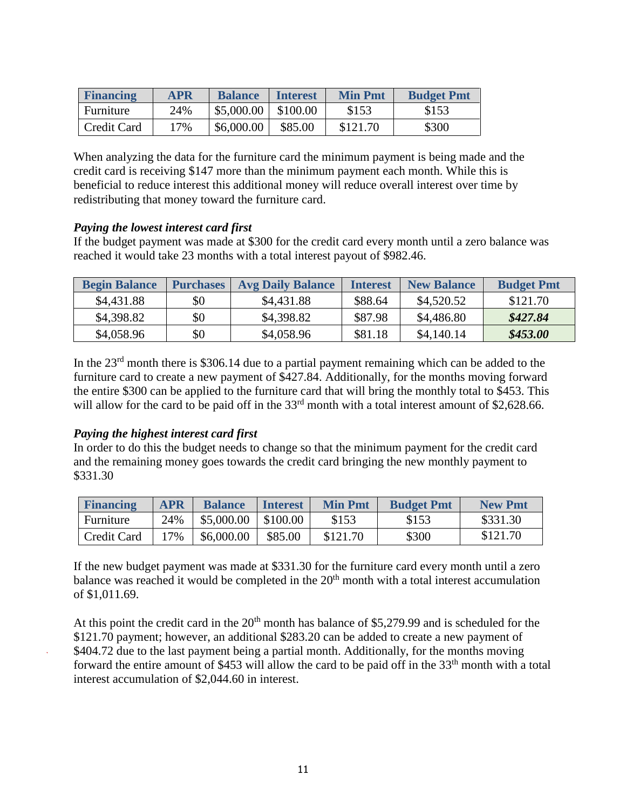| <b>Financing</b> | <b>APR</b> | <b>Balance</b> | <b>Interest</b> | <b>Min Pmt</b> | <b>Budget Pmt</b> |
|------------------|------------|----------------|-----------------|----------------|-------------------|
| Furniture        | 24%        | \$5,000.00     | \$100.00        | \$153          | \$153             |
| Credit Card      | $17\%$     | \$6,000.00     | \$85.00         | \$121.70       | \$300             |

When analyzing the data for the furniture card the minimum payment is being made and the credit card is receiving \$147 more than the minimum payment each month. While this is beneficial to reduce interest this additional money will reduce overall interest over time by redistributing that money toward the furniture card.

#### *Paying the lowest interest card first*

If the budget payment was made at \$300 for the credit card every month until a zero balance was reached it would take 23 months with a total interest payout of \$982.46.

| <b>Begin Balance</b> | <b>Purchases</b> | <b>Avg Daily Balance</b> | <b>Interest</b> | <b>New Balance</b> | <b>Budget Pmt</b> |
|----------------------|------------------|--------------------------|-----------------|--------------------|-------------------|
| \$4,431.88           | \$0              | \$4,431.88               | \$88.64         | \$4,520.52         | \$121.70          |
| \$4,398.82           | \$0              | \$4,398.82               | \$87.98         | \$4,486.80         | \$427.84          |
| \$4,058.96           | \$0              | \$4,058.96               | \$81.18         | \$4,140.14         | \$453.00          |

In the 23<sup>rd</sup> month there is \$306.14 due to a partial payment remaining which can be added to the furniture card to create a new payment of \$427.84. Additionally, for the months moving forward the entire \$300 can be applied to the furniture card that will bring the monthly total to \$453. This will allow for the card to be paid off in the 33<sup>rd</sup> month with a total interest amount of \$2,628.66.

# *Paying the highest interest card first*

In order to do this the budget needs to change so that the minimum payment for the credit card and the remaining money goes towards the credit card bringing the new monthly payment to \$331.30

| <b>Financing</b> | <b>APR</b> | <b>Balance</b> | <b>Interest</b> | <b>Min Pmt</b> | <b>Budget Pmt</b> | <b>New Pmt</b> |
|------------------|------------|----------------|-----------------|----------------|-------------------|----------------|
| Furniture        | 24%        | \$5,000.00     | \$100.00        | \$153          | \$153             | \$331.30       |
| Credit Card      | 17%        | \$6,000.00     | \$85.00         | \$121.70       | \$300             | \$121.70       |

If the new budget payment was made at \$331.30 for the furniture card every month until a zero balance was reached it would be completed in the  $20<sup>th</sup>$  month with a total interest accumulation of \$1,011.69.

At this point the credit card in the  $20<sup>th</sup>$  month has balance of \$5,279.99 and is scheduled for the \$121.70 payment; however, an additional \$283.20 can be added to create a new payment of \$404.72 due to the last payment being a partial month. Additionally, for the months moving forward the entire amount of \$453 will allow the card to be paid off in the 33<sup>th</sup> month with a total interest accumulation of \$2,044.60 in interest.